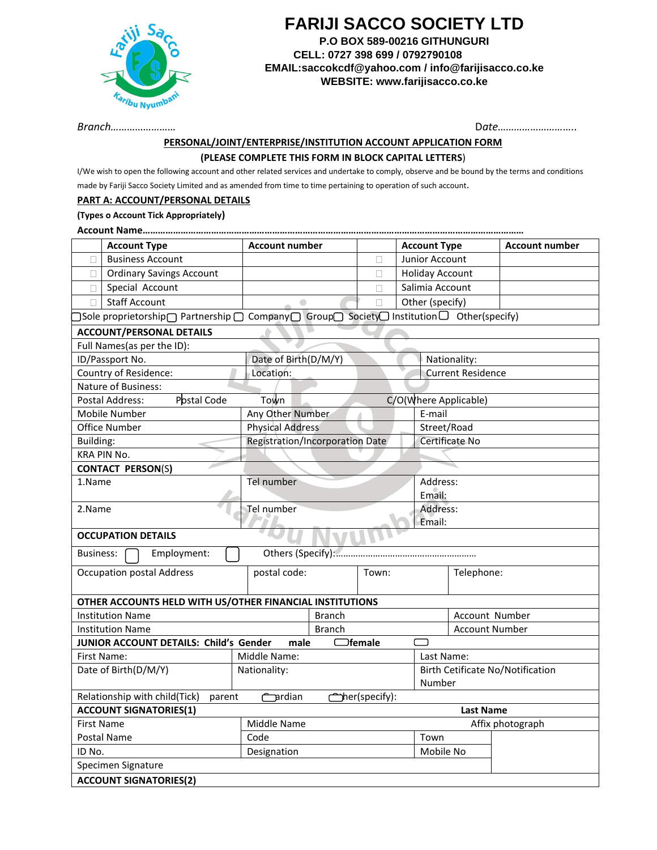

## **FARIJI SACCO SOCIETY LTD**

**P.O BOX 589-00216 GITHUNGURI CELL: 0727 398 699 / 0792790108 EMAIL:saccokcdf@yahoo.com / info@farijisacco.co.ke WEBSITE: www.farijisacco.co.ke**

*Branch……………………* D*ate………………………..*

## **PERSONAL/JOINT/ENTERPRISE/INSTITUTION ACCOUNT APPLICATION FORM (PLEASE COMPLETE THIS FORM IN BLOCK CAPITAL LETTERS**)

I/We wish to open the following account and other related services and undertake to comply, observe and be bound by the terms and conditions made by Fariji Sacco Society Limited and as amended from time to time pertaining to operation of such account.

## **PART A: ACCOUNT/PERSONAL DETAILS**

**(Types o Account Tick Appropriately)**

**Account Name……………………………………………………………………………………………………………………………………**

|                                                                                                | <b>Account Type</b>                                      | <b>Account number</b> |                                 |                | <b>Account Type</b>    |                                         | <b>Account number</b> |  |  |  |  |  |  |
|------------------------------------------------------------------------------------------------|----------------------------------------------------------|-----------------------|---------------------------------|----------------|------------------------|-----------------------------------------|-----------------------|--|--|--|--|--|--|
| П                                                                                              | <b>Business Account</b>                                  |                       |                                 | П              | Junior Account         |                                         |                       |  |  |  |  |  |  |
| $\Box$                                                                                         | <b>Ordinary Savings Account</b>                          |                       |                                 | $\Box$         | <b>Holiday Account</b> |                                         |                       |  |  |  |  |  |  |
| □                                                                                              | Special Account                                          |                       |                                 | $\Box$         | Salimia Account        |                                         |                       |  |  |  |  |  |  |
| П                                                                                              | <b>Staff Account</b>                                     |                       |                                 | П              | Other (specify)        |                                         |                       |  |  |  |  |  |  |
| )Sole proprietorship∩ Partnership ∩ Company∩ Group∩ Society∩ Institution $\Box$ Other(specify) |                                                          |                       |                                 |                |                        |                                         |                       |  |  |  |  |  |  |
|                                                                                                | <b>ACCOUNT/PERSONAL DETAILS</b>                          |                       |                                 |                |                        |                                         |                       |  |  |  |  |  |  |
|                                                                                                | Full Names(as per the ID):                               |                       |                                 |                |                        |                                         |                       |  |  |  |  |  |  |
|                                                                                                | ID/Passport No.                                          |                       | Date of Birth(D/M/Y)            |                |                        | Nationality:                            |                       |  |  |  |  |  |  |
|                                                                                                | Country of Residence:                                    | Location:             |                                 |                |                        | <b>Current Residence</b>                |                       |  |  |  |  |  |  |
|                                                                                                | <b>Nature of Business:</b>                               |                       |                                 |                |                        |                                         |                       |  |  |  |  |  |  |
| Postal Code<br>Town<br>C/O(Where Applicable)<br>Postal Address:                                |                                                          |                       |                                 |                |                        |                                         |                       |  |  |  |  |  |  |
|                                                                                                | Mobile Number                                            |                       | Any Other Number                |                |                        |                                         | E-mail                |  |  |  |  |  |  |
|                                                                                                | Office Number                                            |                       | <b>Physical Address</b>         |                |                        |                                         | Street/Road           |  |  |  |  |  |  |
| Building:                                                                                      |                                                          |                       | Registration/Incorporation Date |                |                        |                                         | Certificate No        |  |  |  |  |  |  |
|                                                                                                | <b>KRA PIN No.</b>                                       |                       |                                 |                |                        |                                         |                       |  |  |  |  |  |  |
| <b>CONTACT PERSON(S)</b>                                                                       |                                                          |                       |                                 |                |                        |                                         |                       |  |  |  |  |  |  |
| 1.Name                                                                                         |                                                          | Tel number            |                                 |                |                        | Address:                                |                       |  |  |  |  |  |  |
|                                                                                                |                                                          |                       |                                 |                |                        | Email:                                  |                       |  |  |  |  |  |  |
| 2.Name                                                                                         |                                                          | Tel number            |                                 |                |                        | Address:                                |                       |  |  |  |  |  |  |
|                                                                                                |                                                          |                       |                                 |                | Email:                 |                                         |                       |  |  |  |  |  |  |
| <b>OCCUPATION DETAILS</b>                                                                      |                                                          |                       |                                 |                |                        |                                         |                       |  |  |  |  |  |  |
| Others (Specify):<br>Employment:<br>Business:                                                  |                                                          |                       |                                 |                |                        |                                         |                       |  |  |  |  |  |  |
| <b>Occupation postal Address</b>                                                               |                                                          | postal code:          |                                 | Town:          |                        | Telephone:                              |                       |  |  |  |  |  |  |
|                                                                                                |                                                          |                       |                                 |                |                        |                                         |                       |  |  |  |  |  |  |
|                                                                                                | OTHER ACCOUNTS HELD WITH US/OTHER FINANCIAL INSTITUTIONS |                       |                                 |                |                        |                                         |                       |  |  |  |  |  |  |
|                                                                                                | <b>Institution Name</b>                                  |                       | <b>Branch</b>                   |                |                        | Account Number                          |                       |  |  |  |  |  |  |
|                                                                                                | <b>Institution Name</b>                                  |                       | <b>Branch</b>                   |                |                        |                                         | <b>Account Number</b> |  |  |  |  |  |  |
|                                                                                                | JUNIOR ACCOUNT DETAILS: Child's Gender                   | male                  | $\Box$ female                   |                |                        |                                         |                       |  |  |  |  |  |  |
|                                                                                                | First Name:                                              | Middle Name:          |                                 |                |                        | Last Name:                              |                       |  |  |  |  |  |  |
|                                                                                                | Date of Birth(D/M/Y)                                     | Nationality:          |                                 |                |                        | <b>Birth Cetificate No/Notification</b> |                       |  |  |  |  |  |  |
| Number                                                                                         |                                                          |                       |                                 |                |                        |                                         |                       |  |  |  |  |  |  |
|                                                                                                | Relationship with child(Tick)<br>parent                  | <b>Fardian</b>        |                                 | ther(specify): |                        |                                         |                       |  |  |  |  |  |  |
| <b>ACCOUNT SIGNATORIES(1)</b><br><b>Last Name</b><br><b>First Name</b>                         |                                                          |                       |                                 |                |                        |                                         |                       |  |  |  |  |  |  |
|                                                                                                |                                                          | Middle Name           |                                 |                |                        | Affix photograph                        |                       |  |  |  |  |  |  |
|                                                                                                | Postal Name                                              | Code                  |                                 | Town           |                        |                                         |                       |  |  |  |  |  |  |
| ID No.                                                                                         |                                                          |                       | Designation                     |                |                        | Mobile No                               |                       |  |  |  |  |  |  |
| Specimen Signature                                                                             |                                                          |                       |                                 |                |                        |                                         |                       |  |  |  |  |  |  |
|                                                                                                | <b>ACCOUNT SIGNATORIES(2)</b>                            |                       |                                 |                |                        |                                         |                       |  |  |  |  |  |  |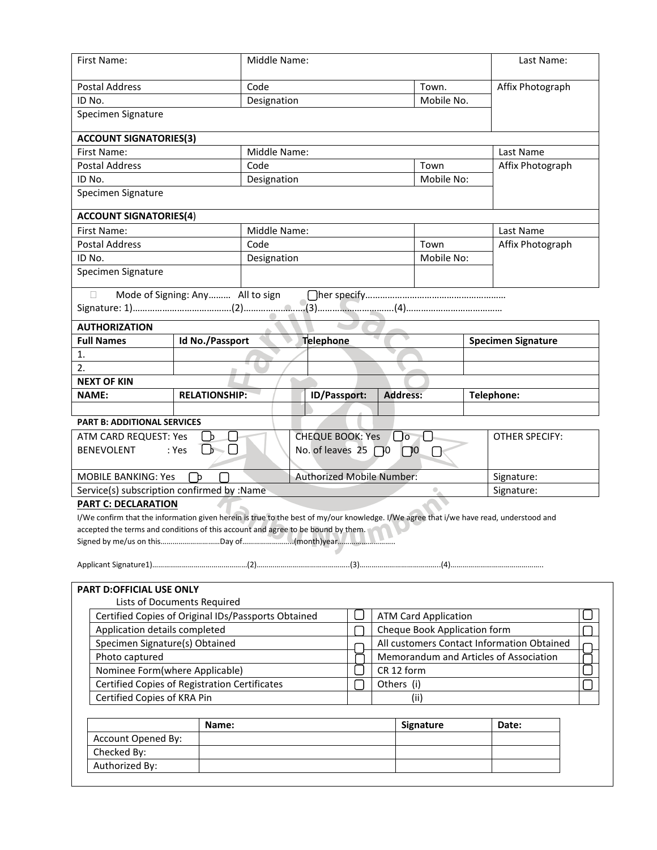| First Name:                                                                                                                            | Middle Name:                      |                                            |                                                   |                                  |                 | Last Name:                  |                  |                           |  |  |
|----------------------------------------------------------------------------------------------------------------------------------------|-----------------------------------|--------------------------------------------|---------------------------------------------------|----------------------------------|-----------------|-----------------------------|------------------|---------------------------|--|--|
| <b>Postal Address</b>                                                                                                                  | Code                              |                                            |                                                   |                                  | Town.           |                             | Affix Photograph |                           |  |  |
| ID No.                                                                                                                                 | Designation                       |                                            |                                                   | Mobile No.                       |                 |                             |                  |                           |  |  |
| Specimen Signature                                                                                                                     |                                   |                                            |                                                   |                                  |                 |                             |                  |                           |  |  |
| <b>ACCOUNT SIGNATORIES(3)</b>                                                                                                          |                                   |                                            |                                                   |                                  |                 |                             |                  |                           |  |  |
| First Name:                                                                                                                            |                                   | Middle Name:                               |                                                   |                                  |                 |                             | Last Name        |                           |  |  |
| <b>Postal Address</b>                                                                                                                  | Code                              |                                            |                                                   |                                  | Town            |                             | Affix Photograph |                           |  |  |
| ID No.                                                                                                                                 | Designation                       |                                            |                                                   | Mobile No:                       |                 |                             |                  |                           |  |  |
| Specimen Signature                                                                                                                     |                                   |                                            |                                                   |                                  |                 |                             |                  |                           |  |  |
| <b>ACCOUNT SIGNATORIES(4)</b>                                                                                                          |                                   |                                            |                                                   |                                  |                 |                             |                  |                           |  |  |
| First Name:                                                                                                                            | Middle Name:                      |                                            |                                                   |                                  |                 |                             | Last Name        |                           |  |  |
| <b>Postal Address</b>                                                                                                                  |                                   | Code                                       |                                                   |                                  |                 | Town                        |                  | Affix Photograph          |  |  |
| ID No.                                                                                                                                 | Designation                       |                                            |                                                   |                                  | Mobile No:      |                             |                  |                           |  |  |
| Specimen Signature                                                                                                                     |                                   |                                            |                                                   |                                  |                 |                             |                  |                           |  |  |
|                                                                                                                                        | Mode of Signing: Any  All to sign |                                            |                                                   |                                  |                 |                             |                  |                           |  |  |
|                                                                                                                                        |                                   |                                            |                                                   |                                  |                 |                             |                  |                           |  |  |
|                                                                                                                                        |                                   |                                            |                                                   |                                  |                 |                             |                  |                           |  |  |
| <b>AUTHORIZATION</b>                                                                                                                   |                                   |                                            |                                                   |                                  |                 |                             |                  |                           |  |  |
| <b>Full Names</b>                                                                                                                      | Id No./Passport                   |                                            | Telephone                                         |                                  |                 |                             |                  | <b>Specimen Signature</b> |  |  |
| 1.                                                                                                                                     |                                   |                                            |                                                   |                                  |                 |                             |                  |                           |  |  |
| 2.                                                                                                                                     |                                   |                                            |                                                   |                                  |                 |                             |                  |                           |  |  |
| <b>NEXT OF KIN</b>                                                                                                                     |                                   |                                            |                                                   |                                  |                 |                             |                  |                           |  |  |
| <b>NAME:</b>                                                                                                                           | <b>RELATIONSHIP:</b>              | ID/Passport:                               |                                                   |                                  | <b>Address:</b> | Telephone:                  |                  |                           |  |  |
|                                                                                                                                        |                                   |                                            |                                                   |                                  |                 |                             |                  |                           |  |  |
| <b>PART B: ADDITIONAL SERVICES</b>                                                                                                     |                                   |                                            |                                                   |                                  |                 |                             |                  |                           |  |  |
| ATM CARD REQUEST: Yes<br><b>BENEVOLENT</b>                                                                                             | - b<br>$D - D$<br>: Yes           |                                            | CHEQUE BOOK: Yes □ o<br>No. of leaves 25 $\Box$ 0 |                                  | $\Box$          | $\Box$                      |                  | OTHER SPECIFY:            |  |  |
| <b>MOBILE BANKING: Yes</b>                                                                                                             | Ъ                                 |                                            |                                                   | <b>Authorized Mobile Number:</b> |                 |                             |                  | Signature:                |  |  |
| Service(s) subscription confirmed by :Name                                                                                             |                                   |                                            |                                                   |                                  |                 | $\bullet$                   | Signature:       |                           |  |  |
| <b>PART C: DECLARATION</b>                                                                                                             |                                   |                                            |                                                   |                                  |                 |                             |                  |                           |  |  |
| I/We confirm that the information given herein is true to the best of my/our knowledge. I/We agree that i/we have read, understood and |                                   |                                            |                                                   |                                  |                 |                             |                  |                           |  |  |
| accepted the terms and conditions of this account and agree to be bound by them.                                                       |                                   |                                            |                                                   |                                  |                 |                             |                  |                           |  |  |
|                                                                                                                                        |                                   |                                            |                                                   |                                  |                 |                             |                  |                           |  |  |
|                                                                                                                                        |                                   |                                            |                                                   |                                  |                 |                             |                  |                           |  |  |
|                                                                                                                                        |                                   |                                            |                                                   |                                  |                 |                             |                  |                           |  |  |
| <b>PART D:OFFICIAL USE ONLY</b>                                                                                                        |                                   |                                            |                                                   |                                  |                 |                             |                  |                           |  |  |
|                                                                                                                                        | Lists of Documents Required       |                                            |                                                   |                                  |                 |                             |                  |                           |  |  |
| Certified Copies of Original IDs/Passports Obtained                                                                                    |                                   |                                            |                                                   |                                  |                 | <b>ATM Card Application</b> |                  |                           |  |  |
| Application details completed                                                                                                          |                                   | Cheque Book Application form               |                                                   |                                  |                 |                             |                  |                           |  |  |
| Specimen Signature(s) Obtained                                                                                                         |                                   | All customers Contact Information Obtained |                                                   |                                  |                 |                             |                  |                           |  |  |
| Photo captured                                                                                                                         |                                   | Memorandum and Articles of Association     |                                                   |                                  |                 |                             |                  |                           |  |  |
| Nominee Form(where Applicable)                                                                                                         |                                   |                                            |                                                   | CR 12 form                       |                 |                             |                  |                           |  |  |
| Certified Copies of Registration Certificates                                                                                          |                                   | Others (i)                                 |                                                   |                                  |                 |                             |                  |                           |  |  |
| Certified Copies of KRA Pin                                                                                                            |                                   |                                            |                                                   |                                  |                 | (ii)                        |                  |                           |  |  |
|                                                                                                                                        |                                   |                                            |                                                   |                                  |                 |                             |                  |                           |  |  |
|                                                                                                                                        | Name:                             |                                            |                                                   |                                  |                 | <b>Signature</b>            |                  | Date:                     |  |  |
|                                                                                                                                        | Account Opened By:                |                                            |                                                   |                                  |                 |                             |                  |                           |  |  |
| Checked By:                                                                                                                            |                                   |                                            |                                                   |                                  |                 |                             |                  |                           |  |  |
| Authorized By:                                                                                                                         |                                   |                                            |                                                   |                                  |                 |                             |                  |                           |  |  |
|                                                                                                                                        |                                   |                                            |                                                   |                                  |                 |                             |                  |                           |  |  |